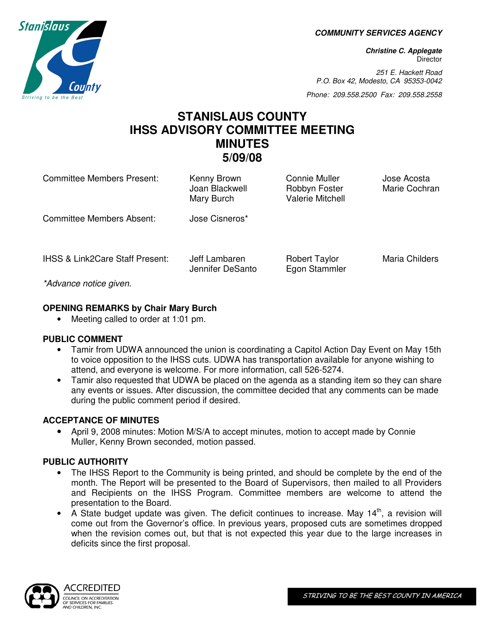**COMMUNITY SERVICES AGENCY** 

**Christine C. Applegate Director** 

251 E. Hackett Road P.O. Box 42, Modesto, CA 95353-0042

Phone: 209.558.2500 Fax: 209.558.2558

# **STANISLAUS COUNTY IHSS ADVISORY COMMITTEE MEETING MINUTES 5/09/08**

| Committee Members Present:                         | Kenny Brown<br>Joan Blackwell<br>Mary Burch | <b>Connie Muller</b><br>Robbyn Foster<br><b>Valerie Mitchell</b> | Jose Acosta<br>Marie Cochran |
|----------------------------------------------------|---------------------------------------------|------------------------------------------------------------------|------------------------------|
| Committee Members Absent:                          | Jose Cisneros*                              |                                                                  |                              |
| <b>IHSS &amp; Link2Care Staff Present:</b><br>$*A$ | Jeff Lambaren<br>Jennifer DeSanto           | <b>Robert Taylor</b><br>Egon Stammler                            | <b>Maria Childers</b>        |

\*Advance notice given.

# **OPENING REMARKS by Chair Mary Burch**

• Meeting called to order at 1:01 pm.

# **PUBLIC COMMENT**

- Tamir from UDWA announced the union is coordinating a Capitol Action Day Event on May 15th to voice opposition to the IHSS cuts. UDWA has transportation available for anyone wishing to attend, and everyone is welcome. For more information, call 526-5274.
- Tamir also requested that UDWA be placed on the agenda as a standing item so they can share any events or issues. After discussion, the committee decided that any comments can be made during the public comment period if desired.

# **ACCEPTANCE OF MINUTES**

• April 9, 2008 minutes: Motion M/S/A to accept minutes, motion to accept made by Connie Muller, Kenny Brown seconded, motion passed.

# **PUBLIC AUTHORITY**

- The IHSS Report to the Community is being printed, and should be complete by the end of the month. The Report will be presented to the Board of Supervisors, then mailed to all Providers and Recipients on the IHSS Program. Committee members are welcome to attend the presentation to the Board.
- A State budget update was given. The deficit continues to increase. May  $14<sup>th</sup>$ , a revision will come out from the Governor's office. In previous years, proposed cuts are sometimes dropped when the revision comes out, but that is not expected this year due to the large increases in deficits since the first proposal.